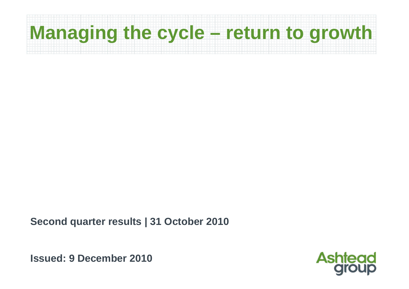# **Managing the cycle – return to growth**

**Second quarter results | 31 October 2010**

**Issued: 9 December 2010**

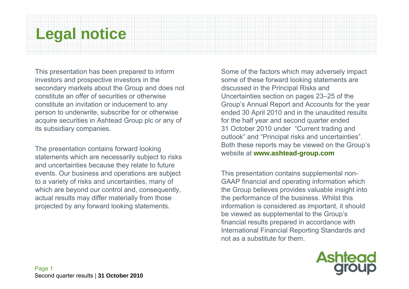#### **Legal notice**

This presentation has been prepared to inform investors and prospective investors in the secondary markets about the Group and does not constitute an offer of securities or otherwise constitute an invitation or inducement to any person to underwrite, subscribe for or otherwise acquire securities in Ashtead Group plc or any of its subsidiary companies.

The presentation contains forward looking statements which are necessarily subject to risks and uncertainties because they relate to future events. Our business and operations are subject to a variety of risks and uncertainties, many of which are beyond our control and, consequently, actual results may differ materially from those projected by any forward looking statements.

Some of the factors which may adversely impact some of these forward looking statements are discussed in the Principal Risks and Uncertainties section on pages 23–25 of the Group's Annual Report and Accounts for the year ended 30 April 2010 and in the unaudited results for the half year and second quarter ended 31 October 2010 under "Current trading and outlook" and "Principal risks and uncertainties". Both these reports may be viewed on the Group's website at **www.ashtead-group.com**

This presentation contains supplemental non-GAAP financial and operating information which the Group believes provides valuable insight into the performance of the business. Whilst this information is considered as important, it should be viewed as supplemental to the Group's financial results prepared in accordance with International Financial Reporting Standards and not as a substitute for them.

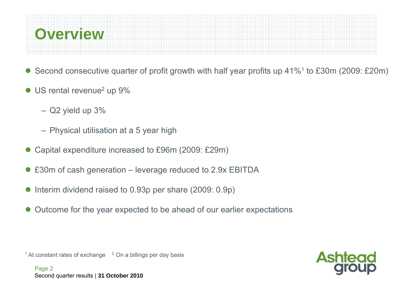

- $\bullet$ Second consecutive quarter of profit growth with half year profits up 41%1 to £30m (2009: £20m)
- US rental revenue<sup>2</sup> up 9%
	- Q2 yield up 3%
	- Physical utilisation at a 5 year high
- $\bullet$ Capital expenditure increased to £96m (2009: £29m)
- $\bullet$ £30m of cash generation – leverage reduced to 2.9x EBITDA
- $\bullet$ Interim dividend raised to 0.93p per share (2009: 0.9p)
- $\bullet$ Outcome for the year expected to be ahead of our earlier expectations

<sup>1</sup> At constant rates of exchange  $2$  On a billings per day basis

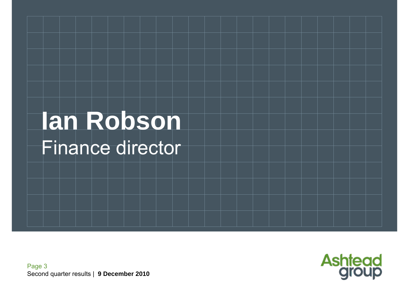# **Ian Robson**  Finance director

Page 3 Second quarter results | **9 December 2010**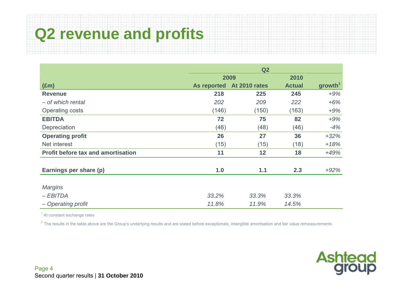## **Q2 revenue and profits**

|                                           | Q2          |               |               |                     |  |  |
|-------------------------------------------|-------------|---------------|---------------|---------------------|--|--|
|                                           |             | 2009          | 2010          |                     |  |  |
| $(\text{Em})$                             | As reported | At 2010 rates | <b>Actual</b> | growth <sup>1</sup> |  |  |
| <b>Revenue</b>                            | 218         | 225           | 245           | $+9%$               |  |  |
| - of which rental                         | 202         | 209           | 222           | $+6%$               |  |  |
| <b>Operating costs</b>                    | (146)       | (150)         | (163)         | $+9%$               |  |  |
| <b>EBITDA</b>                             | 72          | 75            | 82            | $+9%$               |  |  |
| Depreciation                              | (46)        | (48)          | (46)          | $-4%$               |  |  |
| <b>Operating profit</b>                   | 26          | 27            | 36            | $+32%$              |  |  |
| Net interest                              | (15)        | (15)          | (18)          | $+18%$              |  |  |
| <b>Profit before tax and amortisation</b> | 11          | 12            | 18            | $+49%$              |  |  |
|                                           |             |               |               |                     |  |  |
| Earnings per share (p)                    | 1.0         | 1.1           | 2.3           | $+92%$              |  |  |
|                                           |             |               |               |                     |  |  |
| <b>Margins</b>                            |             |               |               |                     |  |  |
| $-EBITDA$                                 | 33.2%       | 33.3%         | 33.3%         |                     |  |  |
| - Operating profit                        | 11.8%       | 11.9%         | 14.5%         |                     |  |  |

 $<sup>1</sup>$  At constant exchange rates</sup>

 $2$  The results in the table above are the Group's underlying results and are stated before exceptionals, intangible amortisation and fair value remeasurements

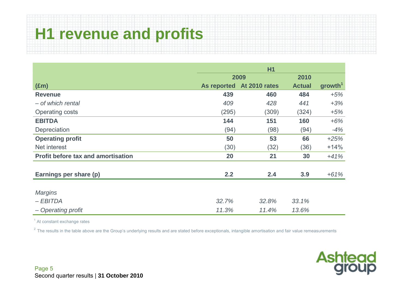## **H1 revenue and profits**

|                                           | H1          |               |               |                     |  |
|-------------------------------------------|-------------|---------------|---------------|---------------------|--|
|                                           |             | 2009          | 2010          |                     |  |
| $(\text{Em})$                             | As reported | At 2010 rates | <b>Actual</b> | growth <sup>1</sup> |  |
| <b>Revenue</b>                            | 439         | 460           | 484           | $+5%$               |  |
| - of which rental                         | 409         | 428           | 441           | $+3%$               |  |
| <b>Operating costs</b>                    | (295)       | (309)         | (324)         | $+5%$               |  |
| <b>EBITDA</b>                             | 144         | 151           | 160           | $+6%$               |  |
| Depreciation                              | (94)        | (98)          | (94)          | $-4%$               |  |
| <b>Operating profit</b>                   | 50          | 53            | 66            | $+25%$              |  |
| Net interest                              | (30)        | (32)          | (36)          | $+14%$              |  |
| <b>Profit before tax and amortisation</b> | 20          | 21            | 30            | $+41%$              |  |
| Earnings per share (p)                    | 2.2         | 2.4           | 3.9           | $+61%$              |  |
| <b>Margins</b>                            |             |               |               |                     |  |
| $-EBITDA$                                 | 32.7%       | 32.8%         | 33.1%         |                     |  |
| - Operating profit                        | 11.3%       | 11.4%         | 13.6%         |                     |  |

<sup>1</sup> At constant exchange rates

 $2$  The results in the table above are the Group's underlying results and are stated before exceptionals, intangible amortisation and fair value remeasurements

**Ashtead**<br>group

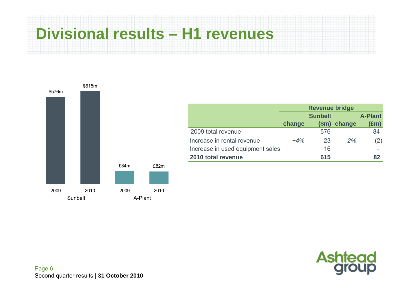#### **Divisional results – H1 revenues**





**A-Plant (£m)** 

84

Page 6 Second quarter results | **31 October 2010**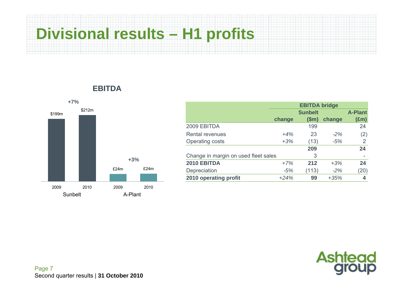## **Divisional results – H1 profits**



#### **EBITDA**

|                                      |        | <b>Sunbelt</b> |        | <b>A-Plant</b> |
|--------------------------------------|--------|----------------|--------|----------------|
|                                      | change | \$m\$          | change | $(\text{Em})$  |
| 2009 EBITDA                          |        | 199            |        | 24             |
| <b>Rental revenues</b>               | $+4%$  | 23             | $-2\%$ | (2)            |
| Operating costs                      | $+3%$  | (13)           | $-5%$  | 2              |
|                                      |        | 209            |        | 24             |
| Change in margin on used fleet sales |        | 3              |        |                |
| 2010 EBITDA                          | $+7%$  | 212            | $+3%$  | 24             |
| Depreciation                         | $-5%$  | (113)          | $-2%$  | (20)           |
| 2010 operating profit                | $+24%$ | 99             | $+35%$ | 4              |



Page 7 Second quarter results | **31 October 2010**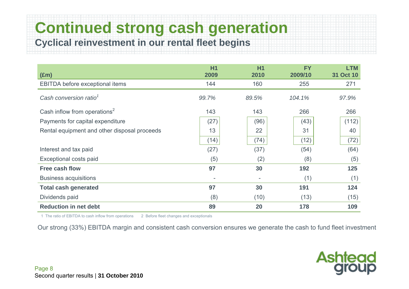**Continued strong cash generation** 

**Cyclical reinvestment in our rental fleet begins**

| $(\text{Em})$                                | H1<br>2009               | <b>H1</b><br>2010        | <b>FY</b><br>2009/10 | <b>LTM</b><br>31 Oct 10 |
|----------------------------------------------|--------------------------|--------------------------|----------------------|-------------------------|
| EBITDA before exceptional items              | 144                      | 160                      | 255                  | 271                     |
| Cash conversion ratio <sup>1</sup>           | 99.7%                    | 89.5%                    | 104.1%               | 97.9%                   |
| Cash inflow from operations <sup>2</sup>     | 143                      | 143                      | 266                  | 266                     |
| Payments for capital expenditure             | (27)                     | (96)                     | (43)                 | (112)                   |
| Rental equipment and other disposal proceeds | 13                       | 22                       | 31                   | 40                      |
|                                              | (14)                     | (74)                     | (12)                 | (72)                    |
| Interest and tax paid                        | (27)                     | (37)                     | (54)                 | (64)                    |
| Exceptional costs paid                       | (5)                      | (2)                      | (8)                  | (5)                     |
| <b>Free cash flow</b>                        | 97                       | 30                       | 192                  | 125                     |
| <b>Business acquisitions</b>                 | $\overline{\phantom{a}}$ | $\overline{\phantom{a}}$ | (1)                  | (1)                     |
| <b>Total cash generated</b>                  | 97                       | 30                       | 191                  | 124                     |
| Dividends paid                               | (8)                      | (10)                     | (13)                 | (15)                    |
| <b>Reduction in net debt</b>                 | 89                       | 20                       | 178                  | 109                     |

1 The ratio of EBITDA to cash inflow from operations 2 Before fleet changes and exceptionals

Our strong (33%) EBITDA margin and consistent cash conversion ensures we generate the cash to fund fleet investment

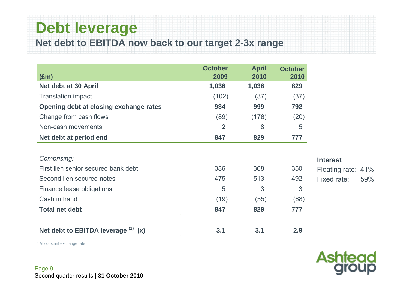#### **Debt leverage**

**Net debt to EBITDA now back to our target 2-3x range**

|                                        | <b>October</b> | <b>April</b>  | <b>October</b> |
|----------------------------------------|----------------|---------------|----------------|
| $(\text{Em})$<br>Net debt at 30 April  | 2009<br>1,036  | 2010<br>1,036 | 2010<br>829    |
|                                        |                |               |                |
| <b>Translation impact</b>              | (102)          | (37)          | (37)           |
| Opening debt at closing exchange rates | 934            | 999           | 792            |
| Change from cash flows                 | (89)           | (178)         | (20)           |
| Non-cash movements                     | $\overline{2}$ | 8             | 5              |
| Net debt at period end                 | 847            | 829           | 777            |
|                                        |                |               |                |
| Comprising:                            |                |               | Þ              |
| First lien senior secured bank debt    | 386            | 368           | F<br>350       |
| Second lien secured notes              | 475            | 513           | F<br>492       |
| Finance lease obligations              | 5              | 3             | 3              |
| Cash in hand                           | (19)           | (55)          | (68)           |
| <b>Total net debt</b>                  | 847            | 829           | 777            |
|                                        |                |               |                |
| Net debt to EBITDA leverage (1)<br>(x) | 3.1            | 3.1           | 2.9            |

#### **Interest** Floating rate: 41% Fixed rate: 59%

1 At constant exchange rate

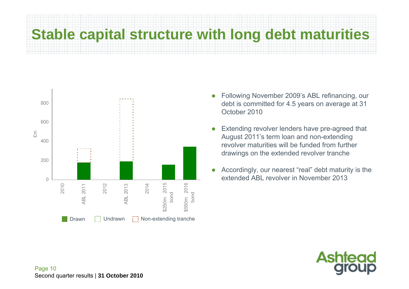### **Stable capital structure with long debt maturities**



- 0 Following November 2009's ABL refinancing, our debt is committed for 4.5 years on average at 31 October 2010
- 0 Extending revolver lenders have pre-agreed that August 2011's term loan and non-extending revolver maturities will be funded from further drawings on the extended revolver tranche
- $\bullet$  Accordingly, our nearest "real" debt maturity is the extended ABL revolver in November 2013

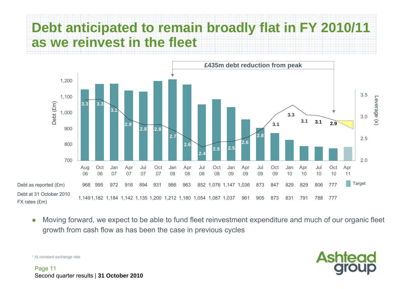#### **Debt anticipated to remain broadly flat in FY 2010/11 as we reinvest in the fleet**



0 Moving forward, we expect to be able to fund fleet reinvestment expenditure and much of our organic fleet growth from cash flow as has been the case in previous cycles



1 At constant exchange rate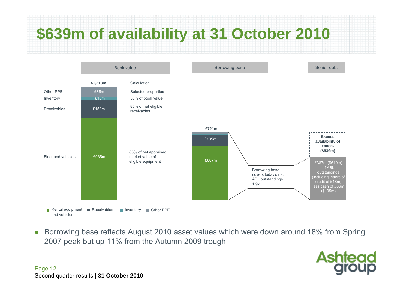

 $\bullet$  Borrowing base reflects August 2010 asset values which were down around 18% from Spring 2007 peak but up 11% from the Autumn 2009 trough

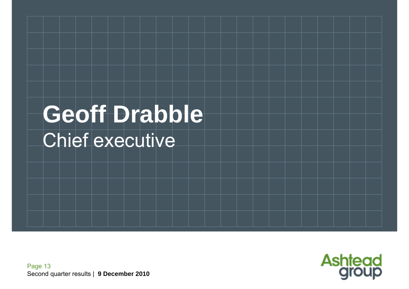# **Geoff Drabble**  Chief executive

Page 13 Second quarter results | **9 December 2010**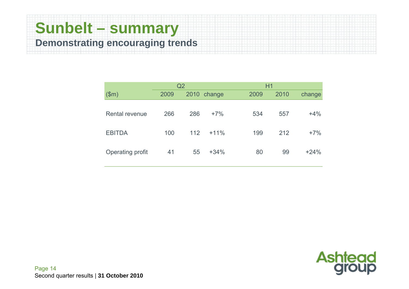#### **Sunbelt – summary Demonstrating encouraging trends**

|                       | Q <sub>2</sub> |     |             |      | H1   |        |  |  |
|-----------------------|----------------|-----|-------------|------|------|--------|--|--|
| \$m\$                 | 2009           |     | 2010 change | 2009 | 2010 | change |  |  |
| <b>Rental revenue</b> | 266            | 286 | $+7%$       | 534  | 557  | $+4%$  |  |  |
| <b>EBITDA</b>         | 100            | 112 | $+11%$      | 199  | 212  | $+7%$  |  |  |
| Operating profit      | 41             | 55  | $+34%$      | 80   | 99   | $+24%$ |  |  |

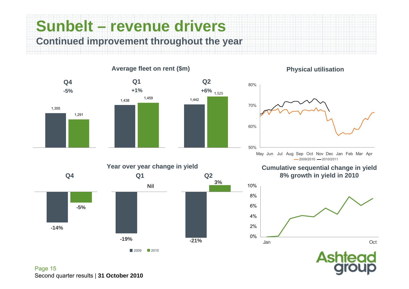**Sunbelt – revenue drivers Continued improvement throughout the year**



#### **Physical utilisation**



**Cumulative sequential change in yield 8% growth in yield in 2010**



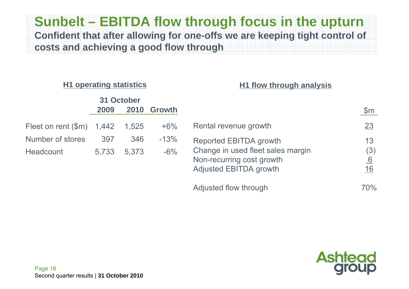#### **Sunbelt – EBITDA flow through focus in the upturn Confident that after allowing for one-offs we are keeping tight control of costs and achieving a good flow through**

#### **H1 operating statistics**

#### **H1 flow through analysis**

|                                   |       | 31 October |               |                                                                                                 |                        |
|-----------------------------------|-------|------------|---------------|-------------------------------------------------------------------------------------------------|------------------------|
|                                   | 2009  | 2010       | <b>Growth</b> |                                                                                                 | \$m\$                  |
| Fleet on rent $(\text{Im})$ 1,442 |       | 1,525      | $+6\%$        | Rental revenue growth                                                                           | 23                     |
| Number of stores                  | 397   | 346        | $-13%$        | Reported EBITDA growth                                                                          | 13                     |
| Headcount                         | 5,733 | 5,373      | $-6%$         | Change in used fleet sales margin<br>Non-recurring cost growth<br><b>Adjusted EBITDA growth</b> | (3)<br>6<br><u> 16</u> |
|                                   |       |            |               | Adjusted flow through                                                                           | 70%                    |

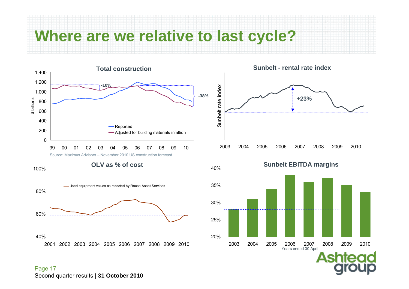#### **Where are we relative to last cycle?**



40%60%80%100%2001 2002 2003 2004 2005 2006 2007 2008 2009 2010Used equipment values as reported by Rouse Asset Services **OLV as % of cost**







Page 17 Second quarter results | **31 October 2010**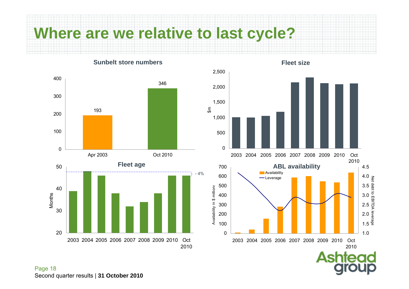#### **Where are we relative to last cycle?**

**Sunbelt store numbers**



**Fleet size**

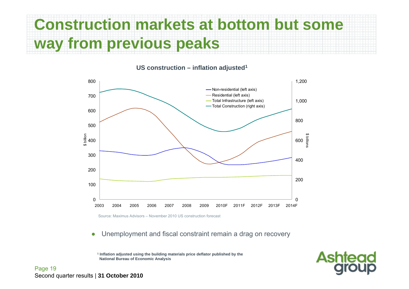## **Construction markets at bottom but some way from previous peaks**

**US construction – inflation adjusted1**



 $\bullet$ Unemployment and fiscal constraint remain a drag on recovery

**1 Inflation adjusted using the building materials price deflator published by the National Bureau of Economic Analysis**



Page 19 Second quarter results | **31 October 2010**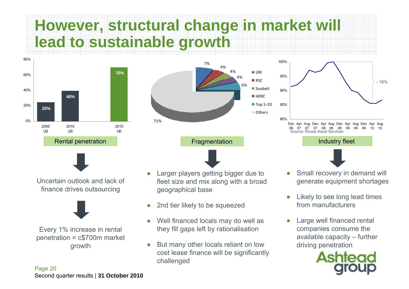## **However, structural change in market will lead to sustainable growth**





Uncertain outlook and lack of finance drives outsourcing



Every 1% increase in rental penetration = c\$700m market growth





- ● Larger players getting bigger due to fleet size and mix along with a broad geographical base
- ●2nd tier likely to be squeezed
- ● Well financed locals may do well as they fill gaps left by rationalisation
- ● But many other locals reliant on low cost lease finance will be significantly challenged







- ● Small recovery in demand will generate equipment shortages
- ● Likely to see long lead times from manufacturers
- ● Large well financed rental companies consume the available capacity – further driving penetration

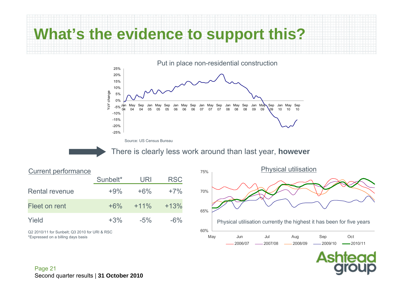#### **What's the evidence to support this?**



Source: US Census Bureau

There is clearly less work around than last year, **however**

|                       | Sunbelt* | URI     | <b>RSC</b> |
|-----------------------|----------|---------|------------|
| <b>Rental revenue</b> | $+9\%$   | $+6\%$  | $+7\%$     |
| Fleet on rent         | $+6\%$   | $+11\%$ | $+13%$     |
| Yield                 | $+3%$    | $-5\%$  | $-6\%$     |

Q2 2010/11 for Sunbelt; Q3 2010 for URI & RSC \*Expressed on a billing days basis



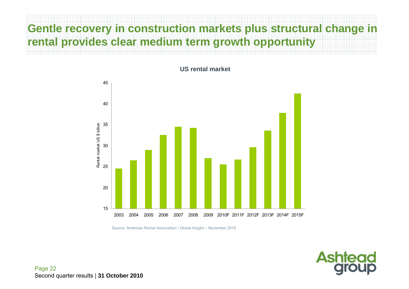#### **Gentle recovery in construction markets plus structural change in rental provides clear medium term growth opportunity**



**US rental market**



Source: American Rental Association / Global Insight – November 2010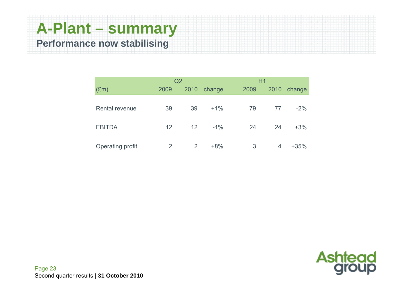#### **A-Plant – summary Performance now stabilising**

|                  | Q2             |                 |        | H1   |      |        |
|------------------|----------------|-----------------|--------|------|------|--------|
| $(\text{Em})$    | 2009           | 2010            | change | 2009 | 2010 | change |
| Rental revenue   | 39             | 39              | $+1\%$ | 79   | 77   | $-2\%$ |
| <b>EBITDA</b>    | 12             | 12 <sup>2</sup> | $-1\%$ | 24   | 24   | $+3%$  |
| Operating profit | $\overline{2}$ | 2               | $+8%$  | 3    | 4    | $+35%$ |

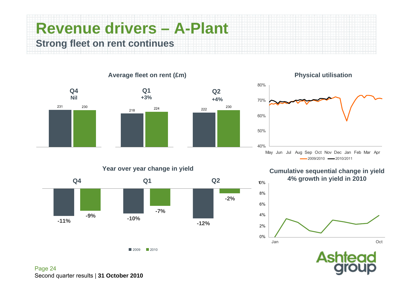#### **Revenue drivers – A-Plant Strong fleet on rent continues**



#### **Physical utilisation**



**Cumulative sequential change in yield 4% growth in yield in 2010**





**Year over year change in yield**



2009 2010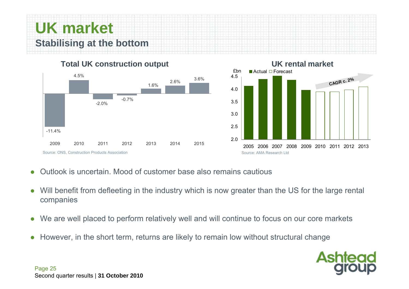#### **UK market Stabilising at the bottom**

**Total UK construction output**





#### **UK rental market**

- $\bullet$ Outlook is uncertain. Mood of customer base also remains cautious
- 0 Will benefit from defleeting in the industry which is now greater than the US for the large rental companies
- $\bullet$ We are well placed to perform relatively well and will continue to focus on our core markets
- $\bullet$ However, in the short term, returns are likely to remain low without structural change

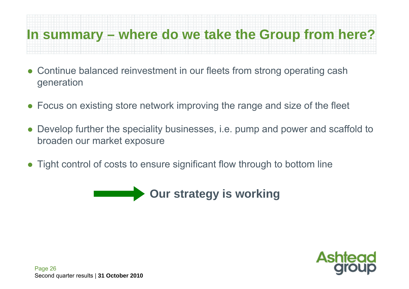#### **In summary – where do we take the Group from here?**

- $\bullet$  Continue balanced reinvestment in our fleets from strong operating cash generation
- $\bullet$ Focus on existing store network improving the range and size of the fleet
- $\bullet$  Develop further the speciality businesses, i.e. pump and power and scaffold to broaden our market exposure
- $\bullet$ Tight control of costs to ensure significant flow through to bottom line



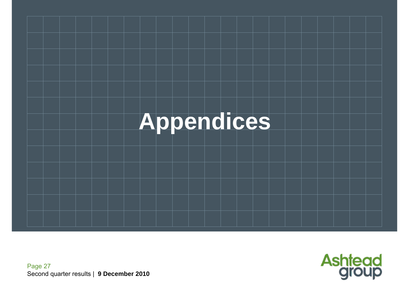

Page 27 Second quarter results | **9 December 2010**

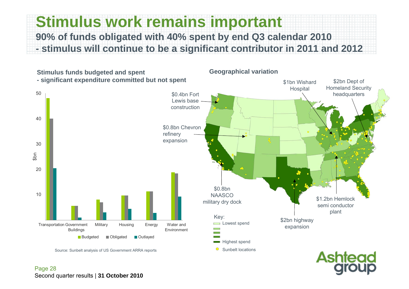#### **Stimulus work remains important 90% of funds obligated with 40% spent by end Q3 calendar 2010 - stimulus will continue to be a significant contributor in 2011 and 2012**

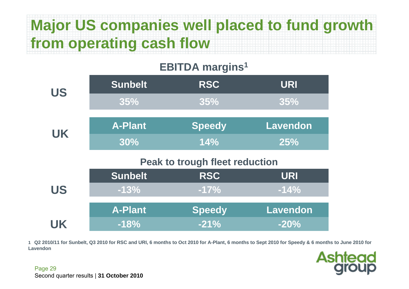## **Major US companies well placed to fund growth from operating cash flow**

#### **EBITDA margins1**

| <b>US</b> | <b>Sunbelt</b> | <b>RSC</b>                            | <b>URI</b>      |
|-----------|----------------|---------------------------------------|-----------------|
|           | 35%            | 35%                                   | 35%             |
|           | <b>A-Plant</b> | <b>Speedy</b>                         | <b>Lavendon</b> |
| <b>UK</b> | 30%            | 14%                                   | 25%             |
|           |                |                                       |                 |
|           |                | <b>Peak to trough fleet reduction</b> |                 |
|           | <b>Sunbelt</b> | <b>RSC</b>                            | <b>URI</b>      |
| <b>US</b> | $-13%$         | $-17%$                                | $-14%$          |
|           | <b>A-Plant</b> | <b>Speedy</b>                         | <b>Lavendon</b> |

**1 Q2 2010/11 for Sunbelt, Q3 2010 for RSC and URI, 6 months to Oct 2010 for A-Plant, 6 months to Sept 2010 for Speedy & 6 months to June 2010 for Lavendon**

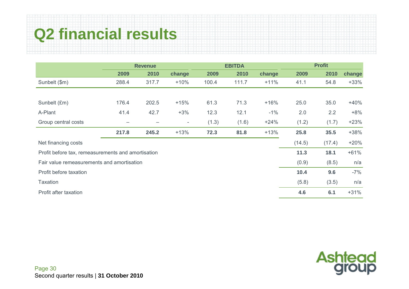## **Q2 financial results**

|                                                    | <b>Revenue</b>  |       |                          |       | <b>EBITDA</b> |        | <b>Profit</b> |        |        |
|----------------------------------------------------|-----------------|-------|--------------------------|-------|---------------|--------|---------------|--------|--------|
|                                                    | 2009            | 2010  | change                   | 2009  | 2010          | change | 2009          | 2010   | change |
| Sunbelt (\$m)                                      | 288.4           | 317.7 | $+10%$                   | 100.4 | 111.7         | $+11%$ | 41.1          | 54.8   | $+33%$ |
|                                                    |                 |       |                          |       |               |        |               |        |        |
| Sunbelt (£m)                                       | 176.4           | 202.5 | $+15%$                   | 61.3  | 71.3          | $+16%$ | 25.0          | 35.0   | $+40%$ |
| A-Plant                                            | 41.4            | 42.7  | $+3%$                    | 12.3  | 12.1          | $-1\%$ | 2.0           | 2.2    | $+8%$  |
| Group central costs                                | $\qquad \qquad$ |       | $\overline{\phantom{a}}$ | (1.3) | (1.6)         | $+24%$ | (1.2)         | (1.7)  | $+23%$ |
|                                                    | 217.8           | 245.2 | $+13%$                   | 72.3  | 81.8          | $+13%$ | 25.8          | 35.5   | $+38%$ |
| Net financing costs                                |                 |       |                          |       |               |        | (14.5)        | (17.4) | $+20%$ |
| Profit before tax, remeasurements and amortisation |                 |       |                          |       |               |        | 11.3          | 18.1   | $+61%$ |
| Fair value remeasurements and amortisation         |                 |       |                          |       |               |        | (0.9)         | (8.5)  | n/a    |
| Profit before taxation                             |                 |       |                          |       |               |        | 10.4          | 9.6    | $-7%$  |
| <b>Taxation</b>                                    |                 |       |                          |       |               |        | (5.8)         | (3.5)  | n/a    |
| Profit after taxation                              |                 |       |                          |       |               |        | 4.6           | 6.1    | $+31%$ |

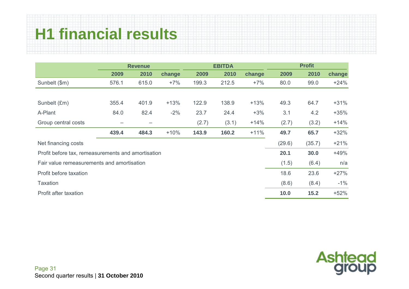## **H1 financial results**

|                                                    | <b>Revenue</b> |       |        | <b>EBITDA</b> |       |        | <b>Profit</b> |        |        |
|----------------------------------------------------|----------------|-------|--------|---------------|-------|--------|---------------|--------|--------|
|                                                    | 2009           | 2010  | change | 2009          | 2010  | change | 2009          | 2010   | change |
| Sunbelt (\$m)                                      | 576.1          | 615.0 | $+7%$  | 199.3         | 212.5 | $+7%$  | 80.0          | 99.0   | $+24%$ |
|                                                    |                |       |        |               |       |        |               |        |        |
| Sunbelt (£m)                                       | 355.4          | 401.9 | $+13%$ | 122.9         | 138.9 | $+13%$ | 49.3          | 64.7   | $+31%$ |
| A-Plant                                            | 84.0           | 82.4  | $-2%$  | 23.7          | 24.4  | $+3%$  | 3.1           | 4.2    | $+35%$ |
| Group central costs                                | -              | -     |        | (2.7)         | (3.1) | $+14%$ | (2.7)         | (3.2)  | $+14%$ |
|                                                    | 439.4          | 484.3 | $+10%$ | 143.9         | 160.2 | $+11%$ | 49.7          | 65.7   | $+32%$ |
| Net financing costs                                |                |       |        |               |       |        | (29.6)        | (35.7) | $+21%$ |
| Profit before tax, remeasurements and amortisation |                |       |        |               |       |        | 20.1          | 30.0   | $+49%$ |
| Fair value remeasurements and amortisation         |                |       |        |               |       |        | (1.5)         | (6.4)  | n/a    |
| Profit before taxation                             |                |       |        |               |       |        | 18.6          | 23.6   | $+27%$ |
| <b>Taxation</b>                                    |                |       |        |               |       |        | (8.6)         | (8.4)  | $-1\%$ |
| Profit after taxation                              |                |       |        |               |       |        | 10.0          | 15.2   | $+52%$ |

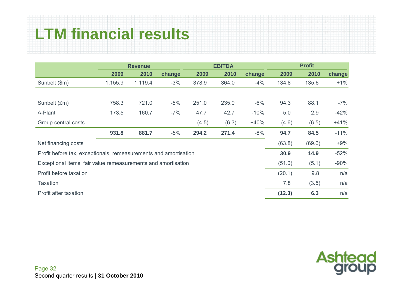## **LTM financial results**

|                                                                  | <b>Revenue</b> |         |        |       | <b>EBITDA</b> |        | <b>Profit</b> |        |        |  |
|------------------------------------------------------------------|----------------|---------|--------|-------|---------------|--------|---------------|--------|--------|--|
|                                                                  | 2009           | 2010    | change | 2009  | 2010          | change | 2009          | 2010   | change |  |
| Sunbelt (\$m)                                                    | 1,155.9        | 1,119.4 | $-3%$  | 378.9 | 364.0         | $-4%$  | 134.8         | 135.6  | $+1%$  |  |
|                                                                  |                |         |        |       |               |        |               |        |        |  |
| Sunbelt (£m)                                                     | 758.3          | 721.0   | $-5%$  | 251.0 | 235.0         | $-6%$  | 94.3          | 88.1   | $-7%$  |  |
| A-Plant                                                          | 173.5          | 160.7   | $-7%$  | 47.7  | 42.7          | $-10%$ | 5.0           | 2.9    | $-42%$ |  |
| Group central costs                                              | -              |         |        | (4.5) | (6.3)         | $+40%$ | (4.6)         | (6.5)  | $+41%$ |  |
|                                                                  | 931.8          | 881.7   | $-5%$  | 294.2 | 271.4         | $-8%$  | 94.7          | 84.5   | $-11%$ |  |
| Net financing costs                                              |                |         |        |       |               |        | (63.8)        | (69.6) | $+9%$  |  |
| Profit before tax, exceptionals, remeasurements and amortisation |                |         |        |       |               |        |               | 14.9   | $-52%$ |  |
| Exceptional items, fair value remeasurements and amortisation    |                |         |        |       |               |        |               | (5.1)  | $-90%$ |  |
| Profit before taxation                                           |                |         |        |       |               |        | (20.1)        | 9.8    | n/a    |  |
| <b>Taxation</b>                                                  |                |         |        |       |               |        | 7.8           | (3.5)  | n/a    |  |
| Profit after taxation                                            |                |         |        |       |               |        | (12.3)        | 6.3    | n/a    |  |

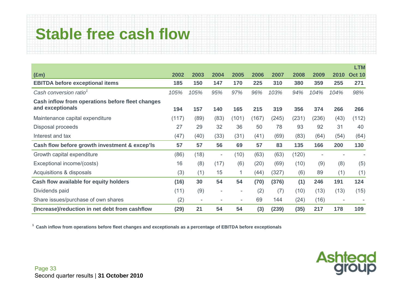### **Stable free cash flow**

|                                                  |       |        |                          |                          |       |       |       |       |        | <b>LTM</b>               |
|--------------------------------------------------|-------|--------|--------------------------|--------------------------|-------|-------|-------|-------|--------|--------------------------|
| $(\text{Em})$                                    | 2002  | 2003   | 2004                     | 2005                     | 2006  | 2007  | 2008  | 2009  | 2010   | <b>Oct 10</b>            |
| <b>EBITDA before exceptional items</b>           | 185   | 150    | 147                      | 170                      | 225   | 310   | 380   | 359   | 255    | 271                      |
| Cash conversion ratio <sup>1</sup>               | 105%  | 105%   | 95%                      | 97%                      | 96%   | 103%  | 94%   | 104%  | 104%   | 98%                      |
| Cash inflow from operations before fleet changes |       |        |                          |                          |       |       |       |       |        |                          |
| and exceptionals                                 | 194   | 157    | 140                      | 165                      | 215   | 319   | 356   | 374   | 266    | 266                      |
| Maintenance capital expenditure                  | (117) | (89)   | (83)                     | (101)                    | (167) | (245) | (231) | (236) | (43)   | (112)                    |
| Disposal proceeds                                | 27    | 29     | 32                       | 36                       | 50    | 78    | 93    | 92    | 31     | 40                       |
| Interest and tax                                 | (47)  | (40)   | (33)                     | (31)                     | (41)  | (69)  | (83)  | (64)  | (54)   | (64)                     |
| Cash flow before growth investment & excep'ls    | 57    | 57     | 56                       | 69                       | 57    | 83    | 135   | 166   | 200    | 130                      |
| Growth capital expenditure                       | (86)  | (18)   | $\overline{\phantom{a}}$ | (10)                     | (63)  | (63)  | (120) |       |        | $\overline{\phantom{a}}$ |
| Exceptional income/(costs)                       | 16    | (8)    | (17)                     | (6)                      | (20)  | (69)  | (10)  | (9)   | (8)    | (5)                      |
| Acquisitions & disposals                         | (3)   | (1)    | 15                       |                          | (44)  | (327) | (6)   | 89    | (1)    | (1)                      |
| Cash flow available for equity holders           | (16)  | 30     | 54                       | 54                       | (70)  | (376) | (1)   | 246   | 191    | 124                      |
| Dividends paid                                   |       | (9)    | $\overline{\phantom{a}}$ | $\overline{\phantom{a}}$ | (2)   | (7)   | (10)  | (13)  | (13)   | (15)                     |
| Share issues/purchase of own shares              |       | $\sim$ | ۰                        | ٠                        | 69    | 144   | (24)  | (16)  | $\sim$ |                          |
| (Increase)/reduction in net debt from cashflow   |       | 21     | 54                       | 54                       | (3)   | (239) | (35)  | 217   | 178    | 109                      |

**1 Cash inflow from operations before fleet changes and exceptionals as a percentage of EBITDA before exceptionals** 

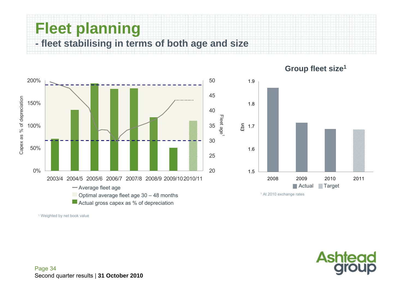#### **Fleet planning**

**- fleet stabilising in terms of both age and size**



**Group fleet size1**

1 Weighted by net book value